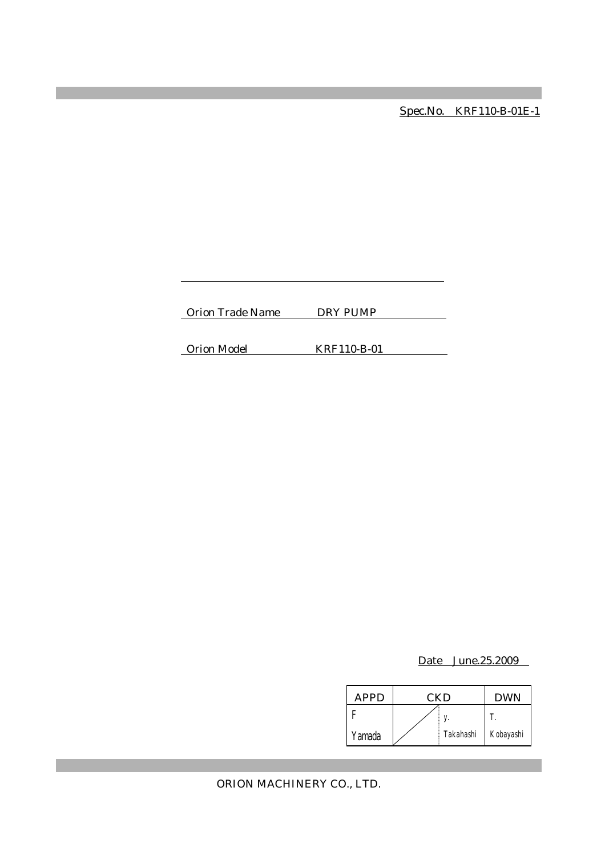Spec.No. KRF110-B-01E-1

Orion Trade Name DRY PUMP

Orion Model KRF110-B-01

Date June.25.2009

| APPD   | CKD |           | <b>DWN</b> |
|--------|-----|-----------|------------|
|        |     |           |            |
| Yamada |     | Takahashi | Kobayashi  |

ORION MACHINERY CO., LTD.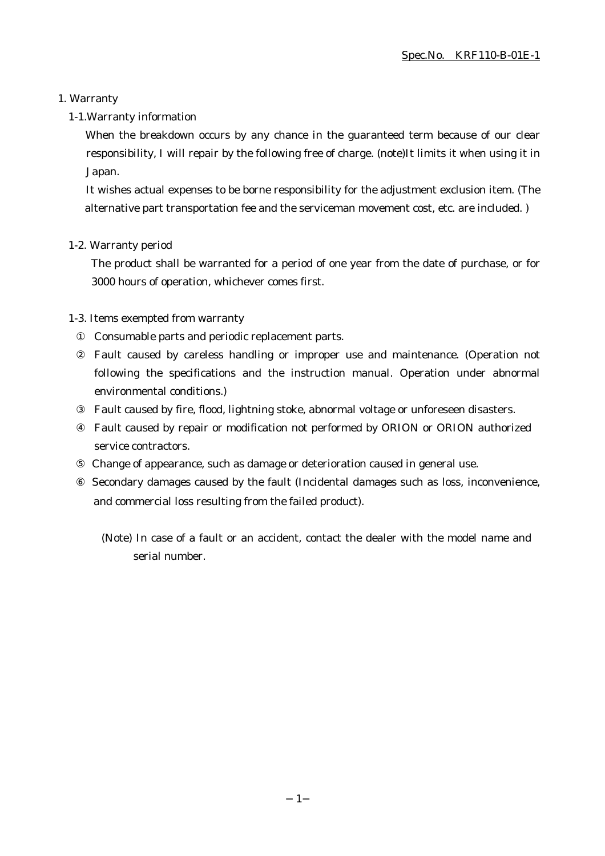#### 1. Warranty

#### 1-1.Warranty information

When the breakdown occurs by any chance in the guaranteed term because of our clear responsibility, I will repair by the following free of charge. (note)It limits it when using it in Japan.

It wishes actual expenses to be borne responsibility for the adjustment exclusion item. (The alternative part transportation fee and the serviceman movement cost, etc. are included. )

#### 1-2. Warranty period

The product shall be warranted for a period of one year from the date of purchase, or for 3000 hours of operation, whichever comes first.

#### 1-3. Items exempted from warranty

Consumable parts and periodic replacement parts.

Fault caused by careless handling or improper use and maintenance. (Operation not following the specifications and the instruction manual. Operation under abnormal environmental conditions.)

Fault caused by fire, flood, lightning stoke, abnormal voltage or unforeseen disasters.

Fault caused by repair or modification not performed by ORION or ORION authorized service contractors.

Change of appearance, such as damage or deterioration caused in general use.

 Secondary damages caused by the fault (Incidental damages such as loss, inconvenience, and commercial loss resulting from the failed product).

(Note) In case of a fault or an accident, contact the dealer with the model name and serial number.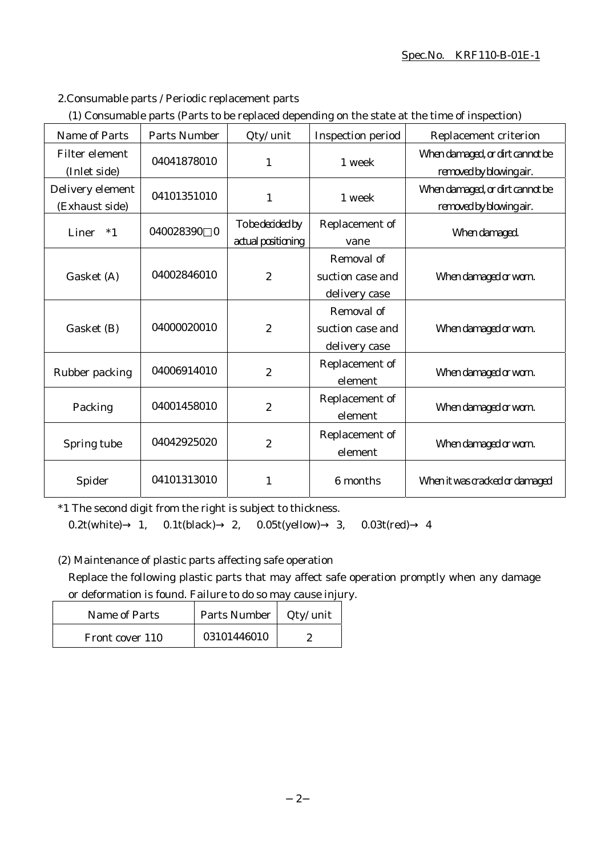#### Spec.No. KRF110-B-01E-1

2.Consumable parts / Periodic replacement parts

|  | (1) Consumable parts (Parts to be replaced depending on the state at the time of inspection) |  |
|--|----------------------------------------------------------------------------------------------|--|
|  |                                                                                              |  |

| <b>Name of Parts</b>               | <b>Parts Number</b>   | Qty/ unit                              | <b>Inspection period</b>                        | Replacement criterion                                      |
|------------------------------------|-----------------------|----------------------------------------|-------------------------------------------------|------------------------------------------------------------|
| Filter element<br>(Inlet side)     | 04041878010           | 1                                      | 1 week                                          | When damaged, or dirt cannot be<br>removed by blowing air. |
| Delivery element<br>(Exhaust side) | 04101351010           | $\mathbf{1}$                           | 1 week                                          | When damaged, or dirt cannot be<br>removed by blowing air. |
| Liner<br>$*1$                      | 040028390<br>$\bf{0}$ | To be decided by<br>actual positioning | Replacement of<br>vane                          | When damaged.                                              |
| Gasket (A)                         | 04002846010           | $\boldsymbol{2}$                       | Removal of<br>suction case and<br>delivery case | When damaged or worn.                                      |
| Gasket (B)                         | 04000020010           | $\boldsymbol{2}$                       | Removal of<br>suction case and<br>delivery case | When damaged or worn.                                      |
| Rubber packing                     | 04006914010           | $\overline{2}$                         | Replacement of<br>element                       | When damaged or worn.                                      |
| Packing                            | 04001458010           | $\boldsymbol{2}$                       | Replacement of<br>element                       | When damaged or worn.                                      |
| Spring tube                        | 04042925020           | $\boldsymbol{2}$                       | Replacement of<br>element                       | When damaged or worn.                                      |
| Spider                             | 04101313010           | 1                                      | 6 months                                        | When it was cracked or damaged                             |

\*1 The second digit from the right is subject to thickness.

0.2t(white) 1, 0.1t(black) 2, 0.05t(yellow) 3, 0.03t(red) 4

(2) Maintenance of plastic parts affecting safe operation

Replace the following plastic parts that may affect safe operation promptly when any damage or deformation is found. Failure to do so may cause injury.

| Name of Parts   | Parts Number   Qty/ unit |  |
|-----------------|--------------------------|--|
| Front cover 110 | 03101446010              |  |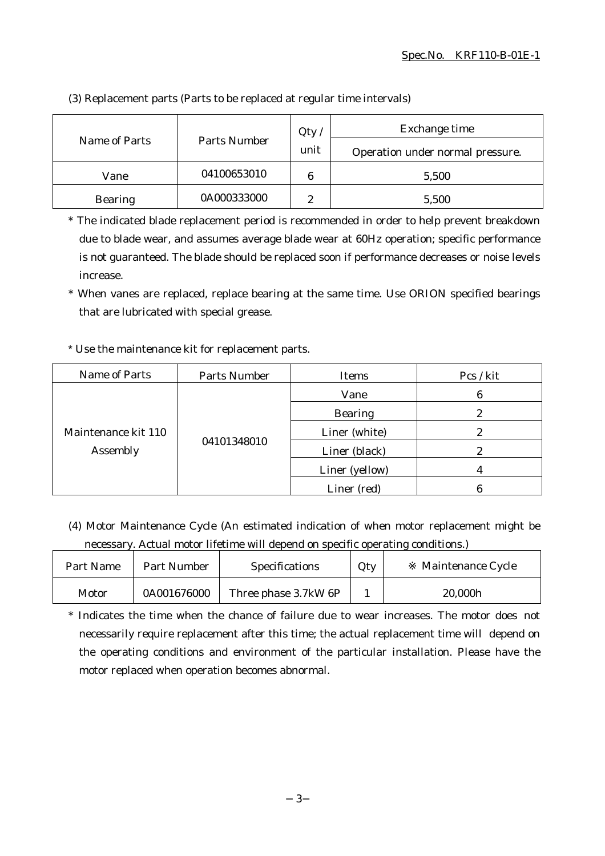|                |              | Qty            | Exchange time                    |
|----------------|--------------|----------------|----------------------------------|
| Name of Parts  | Parts Number | unit           | Operation under normal pressure. |
| Vane           | 04100653010  | 6              | 5,500                            |
| <b>Bearing</b> | 0A000333000  | $\overline{c}$ | 5,500                            |

(3) Replacement parts (Parts to be replaced at regular time intervals)

\* The indicated blade replacement period is recommended in order to help prevent breakdown due to blade wear, and assumes average blade wear at 60Hz operation; specific performance is not guaranteed. The blade should be replaced soon if performance decreases or noise levels increase.

\* When vanes are replaced, replace bearing at the same time. Use ORION specified bearings that are lubricated with special grease.

## \* Use the maintenance kit for replacement parts.

| Name of Parts                   | <b>Parts Number</b> | Items          | Pcs / kit |
|---------------------------------|---------------------|----------------|-----------|
| Maintenance kit 110<br>Assembly | 04101348010         | Vane           | 6         |
|                                 |                     | <b>Bearing</b> | 9         |
|                                 |                     | Liner (white)  |           |
|                                 |                     | Liner (black)  | 2         |
|                                 |                     | Liner (yellow) |           |
|                                 |                     | Liner (red)    |           |

(4) Motor Maintenance Cycle (An estimated indication of when motor replacement might be necessary. Actual motor lifetime will depend on specific operating conditions.)

| Part Name | <b>Part Number</b> | <b>Specifications</b> | Qty | Maintenance Cycle |
|-----------|--------------------|-----------------------|-----|-------------------|
| Motor     | 0A001676000        | Three phase 3.7kW 6P  |     | 20,000h           |

\* Indicates the time when the chance of failure due to wear increases. The motor does not necessarily require replacement after this time; the actual replacement time will depend on the operating conditions and environment of the particular installation. Please have the motor replaced when operation becomes abnormal.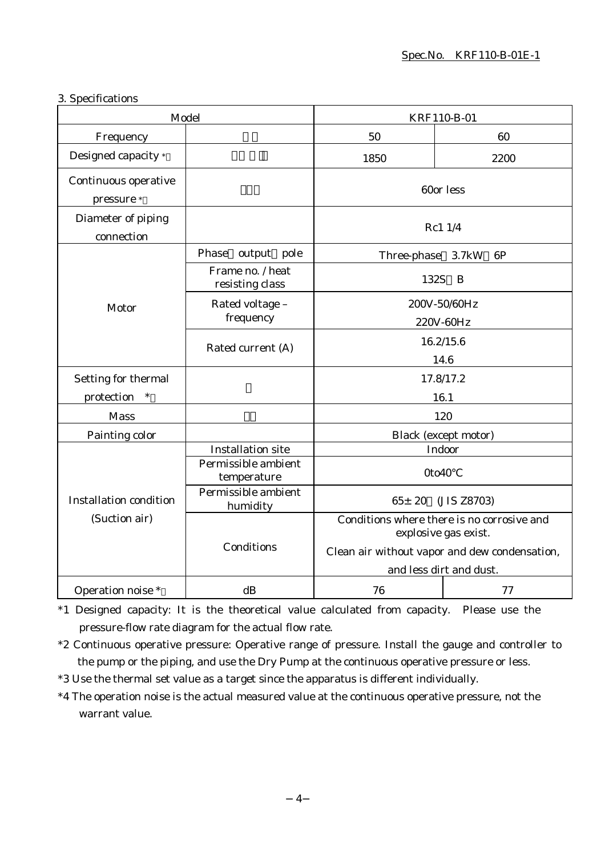#### 3. Specifications

| Model                                          |                                     | KRF110-B-01                                                                                                         |                             |
|------------------------------------------------|-------------------------------------|---------------------------------------------------------------------------------------------------------------------|-----------------------------|
| Frequency                                      |                                     | 50                                                                                                                  | 60                          |
| Designed capacity *                            |                                     | 1850                                                                                                                | 2200                        |
| Continuous operative<br>pressure *             |                                     | 60or less                                                                                                           |                             |
| Diameter of piping<br>connection               |                                     | Rc1 1/4                                                                                                             |                             |
|                                                | Phase<br>output pole                | Three-phase 3.7kW                                                                                                   | 6P                          |
|                                                | Frame no. / heat<br>resisting class | 132S                                                                                                                | B                           |
| Motor                                          | Rated voltage -<br>frequency        | 200V-50/60Hz<br>220V-60Hz                                                                                           |                             |
|                                                | Rated current (A)                   | 16.2/15.6<br>14.6                                                                                                   |                             |
| Setting for thermal                            |                                     | 17.8/17.2                                                                                                           |                             |
| protection<br>$\ast$                           |                                     | 16.1                                                                                                                |                             |
| <b>Mass</b>                                    |                                     | 120                                                                                                                 |                             |
| Painting color                                 |                                     |                                                                                                                     | <b>Black</b> (except motor) |
|                                                | <b>Installation site</b>            |                                                                                                                     | Indoor                      |
|                                                | Permissible ambient<br>temperature  | 0to40                                                                                                               |                             |
| <b>Installation condition</b><br>(Suction air) | Permissible ambient<br>humidity     | $65 \pm 20$<br>(JIS Z8703)                                                                                          |                             |
|                                                | Conditions                          | Conditions where there is no corrosive and<br>explosive gas exist.<br>Clean air without vapor and dew condensation, |                             |
|                                                |                                     | and less dirt and dust.                                                                                             |                             |
| Operation noise *                              | dB                                  | 76                                                                                                                  | 77                          |

\*1 Designed capacity: It is the theoretical value calculated from capacity. Please use the pressure-flow rate diagram for the actual flow rate.

- \*2 Continuous operative pressure: Operative range of pressure. Install the gauge and controller to the pump or the piping, and use the Dry Pump at the continuous operative pressure or less.
- \*3 Use the thermal set value as a target since the apparatus is different individually.
- \*4 The operation noise is the actual measured value at the continuous operative pressure, not the warrant value.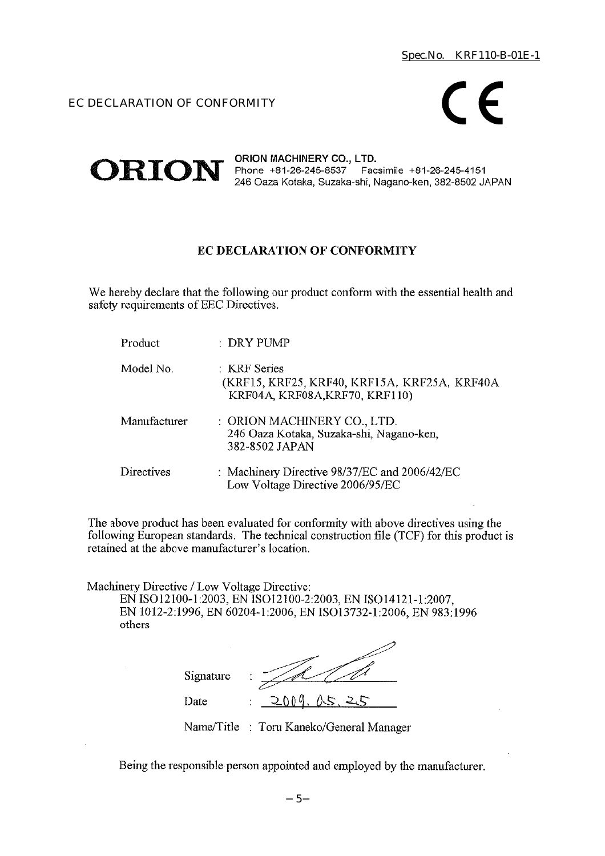## EC DECLARATION OF CONFORMITY



#### ORION MACHINERY CO., LTD.  $ORION$  Phone +81-26-245-8537 Facsimile +81-26-245-4151 246 Oaza Kotaka, Suzaka-shi, Nagano-ken, 382-8502 JAPAN

## EC DECLARATION OF CONFORMITY

We hereby declare that the following our product conform with the essential health and safety requirements of EEC Directives.

| Product      | : DRY PUMP                                                                                     |
|--------------|------------------------------------------------------------------------------------------------|
| Model No.    | : KRF Series<br>(KRF15, KRF25, KRF40, KRF15A, KRF25A, KRF40A<br>KRF04A, KRF08A, KRF70, KRF110) |
| Manufacturer | : ORION MACHINERY CO., LTD.<br>246 Oaza Kotaka, Suzaka-shi, Nagano-ken,<br>382-8502 JAPAN      |
| Directives   | : Machinery Directive 98/37/EC and 2006/42/EC<br>Low Voltage Directive 2006/95/EC              |

The above product has been evaluated for conformity with above directives using the following European standards. The technical construction file (TCF) for this product is retained at the above manufacturer's location.

Machinery Directive / Low Voltage Directive:

EN ISO12100-1:2003, EN ISO12100-2:2003, EN ISO14121-1:2007, EN 1012-2:1996, EN 60204-1:2006, EN ISO13732-1:2006, EN 983:1996 others

| Signature | ٠<br>٠               |
|-----------|----------------------|
| Date      | ስስ ወ<br>15<br>٠<br>٠ |

Name/Title : Toru Kaneko/General Manager

Being the responsible person appointed and employed by the manufacturer.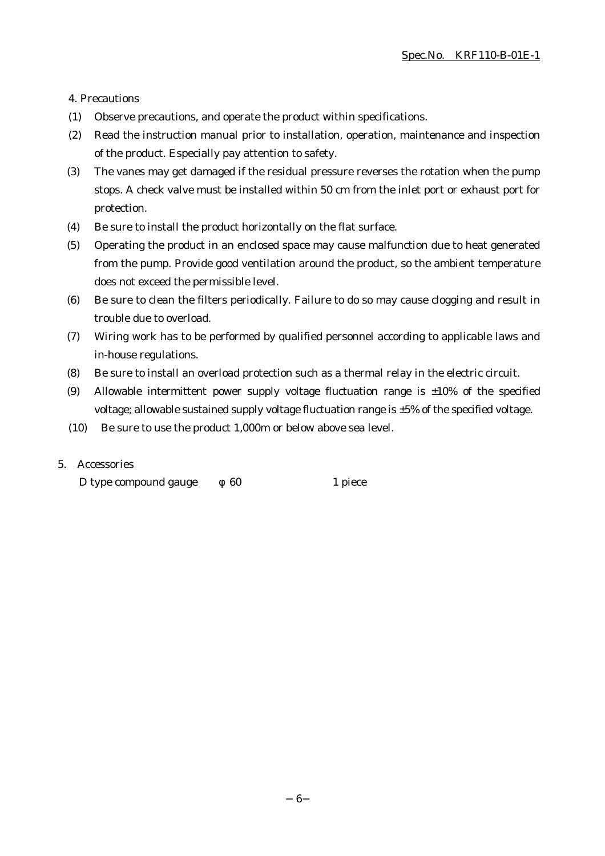4. Precautions

- (1) Observe precautions, and operate the product within specifications.
- (2) Read the instruction manual prior to installation, operation, maintenance and inspection of the product. Especially pay attention to safety.
- (3) The vanes may get damaged if the residual pressure reverses the rotation when the pump stops. A check valve must be installed within 50 cm from the inlet port or exhaust port for protection.
- (4) Be sure to install the product horizontally on the flat surface.
- (5) Operating the product in an enclosed space may cause malfunction due to heat generated from the pump. Provide good ventilation around the product, so the ambient temperature does not exceed the permissible level.
- (6) Be sure to clean the filters periodically. Failure to do so may cause clogging and result in trouble due to overload.
- (7) Wiring work has to be performed by qualified personnel according to applicable laws and in-house regulations.
- (8) Be sure to install an overload protection such as a thermal relay in the electric circuit.
- (9) Allowable intermittent power supply voltage fluctuation range is  $\pm 10\%$  of the specified voltage; allowable sustained supply voltage fluctuation range is ±5% of the specified voltage.
- (10) Be sure to use the product 1,000m or below above sea level.

#### 5. Accessories

D type compound gauge 60 1 piece

6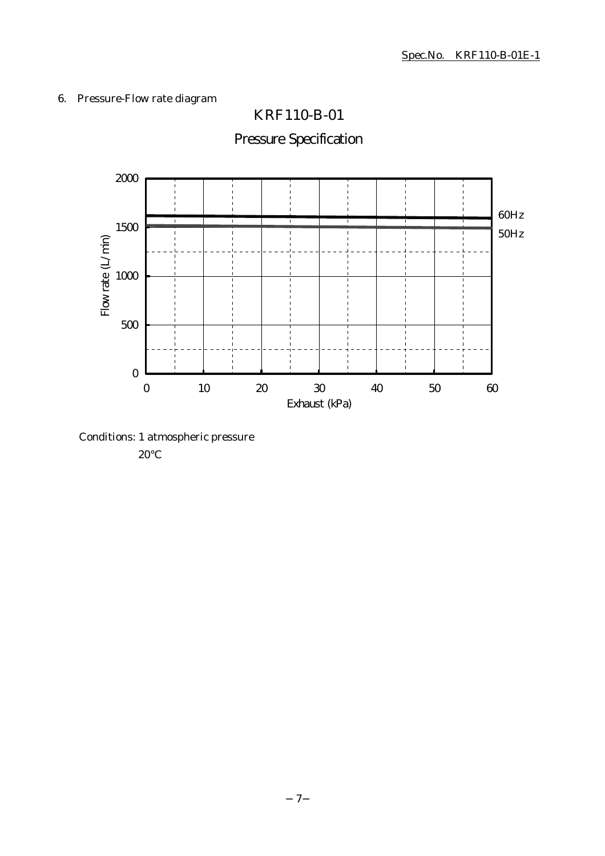# 6. Pressure-Flow rate diagram



Pressure Specification

KRF110-B-01

Conditions: 1 atmospheric pressure

20